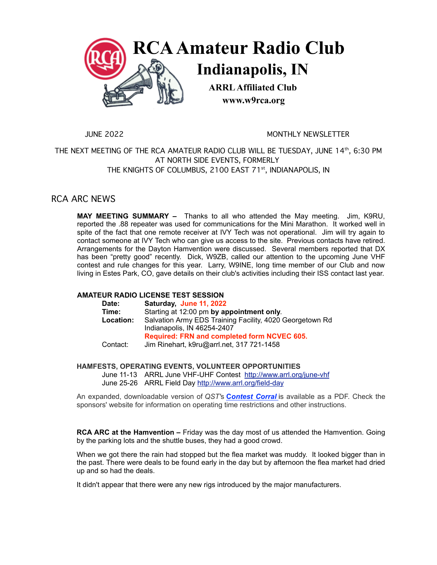

JUNE 2022 MONTHLY NEWSLETTER

THE NEXT MEETING OF THE RCA AMATEUR RADIO CLUB WILL BE TUESDAY, JUNE 14th, 6:30 PM AT NORTH SIDE EVENTS, FORMERLY THE KNIGHTS OF COLUMBUS, 2100 EAST 71<sup>st</sup>, INDIANAPOLIS, IN

## RCA ARC NEWS

**MAY MEETING SUMMARY –** Thanks to all who attended the May meeting. Jim, K9RU, reported the .88 repeater was used for communications for the Mini Marathon. It worked well in spite of the fact that one remote receiver at IVY Tech was not operational. Jim will try again to contact someone at IVY Tech who can give us access to the site. Previous contacts have retired. Arrangements for the Dayton Hamvention were discussed. Several members reported that DX has been "pretty good" recently. Dick, W9ZB, called our attention to the upcoming June VHF contest and rule changes for this year. Larry, W9INE, long time member of our Club and now living in Estes Park, CO, gave details on their club's activities including their ISS contact last year.

### **AMATEUR RADIO LICENSE TEST SESSION**

| Date:     | Saturday, June 11, 2022                                                                 |
|-----------|-----------------------------------------------------------------------------------------|
| Time:     | Starting at 12:00 pm by appointment only.                                               |
| Location: | Salvation Army EDS Training Facility, 4020 Georgetown Rd<br>Indianapolis, IN 46254-2407 |
|           | Required: FRN and completed form NCVEC 605.                                             |
| Contact:  | Jim Rinehart, k9ru@arrl.net, 317 721-1458                                               |

#### **HAMFESTS, OPERATING EVENTS, VOLUNTEER OPPORTUNITIES**

June 11-13 ARRL June VHF-UHF Contest http://www.arrl.org/june-vhf June 25-26 ARRL Field Day http://www.arrl.org/field-day

Required: FRN and completed form NCVEC 605.<br>
Contact: Jim Rinehart, k9ru@arrl.net, 317 721-1458<br>
HAMFESTS, OPERATING EVENTS, VOLUNTEER OPPORTUNITIES<br>
June 11-13 ARRL June VHF-UHF Contest http://www.arrl.org/june-vhf<br>
June sponsors' website for information on operating time restrictions and other instructions.

**RCA ARC at the Hamvention –** Friday was the day most of us attended the Hamvention. Going by the parking lots and the shuttle buses, they had a good crowd.

When we got there the rain had stopped but the flea market was muddy. It looked bigger than in the past. There were deals to be found early in the day but by afternoon the flea market had dried up and so had the deals.

It didn't appear that there were any new rigs introduced by the major manufacturers.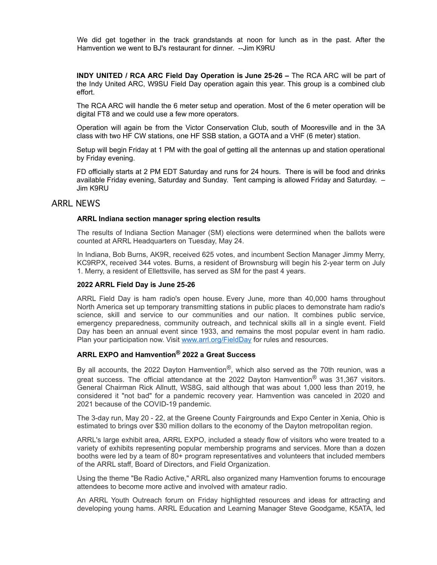We did get together in the track grandstands at noon for lunch as in the past. After the Hamvention we went to BJ's restaurant for dinner. --Jim K9RU

**INDY UNITED / RCA ARC Field Day Operation is June 25-26 –** The RCA ARC will be part of the Indy United ARC, W9SU Field Day operation again this year. This group is a combined club effort.

The RCA ARC will handle the 6 meter setup and operation. Most of the 6 meter operation will be digital FT8 and we could use a few more operators.

Operation will again be from the Victor Conservation Club, south of Mooresville and in the 3A class with two HF CW stations, one HF SSB station, a GOTA and a VHF (6 meter) station.

Setup will begin Friday at 1 PM with the goal of getting all the antennas up and station operational by Friday evening.

FD officially starts at 2 PM EDT Saturday and runs for 24 hours. There is will be food and drinks available Friday evening, Saturday and Sunday. Tent camping is allowed Friday and Saturday. – Jim K9RU

#### ARRL NEWS

#### **ARRL Indiana section manager spring election results**

The results of Indiana Section Manager (SM) elections were determined when the ballots were counted at ARRL Headquarters on Tuesday, May 24.

In Indiana, Bob Burns, AK9R, received 625 votes, and incumbent Section Manager Jimmy Merry, KC9RPX, received 344 votes. Burns, a resident of Brownsburg will begin his 2-year term on July 1. Merry, a resident of Ellettsville, has served as SM for the past 4 years.

#### **2022 ARRL Field Day is June 25-26**

ARRL Field Day is ham radio's open house. Every June, more than 40,000 hams throughout North America set up temporary transmitting stations in public places to demonstrate ham radio's science, skill and service to our communities and our nation. It combines public service, emergency preparedness, community outreach, and technical skills all in a single event. Field Day has been an annual event since 1933, and remains the most popular event in ham radio. Plan your participation now. Visit www.arrl.org/FieldDay for rules and resources.

### **ARRL EXPO and Hamvention® 2022 a Great Success**

By all accounts, the 2022 Dayton Hamvention<sup>®</sup>, which also served as the 70th reunion, was a great success. The official attendance at the 2022 Dayton Hamvention<sup>®</sup> was 31,367 visitors. General Chairman Rick Allnutt, WS8G, said although that was about 1,000 less than 2019, he considered it "not bad" for a pandemic recovery year. Hamvention was canceled in 2020 and 2021 because of the COVID-19 pandemic.

The 3-day run, May 20 - 22, at the Greene County Fairgrounds and Expo Center in Xenia, Ohio is estimated to brings over \$30 million dollars to the economy of the Dayton metropolitan region.

ARRL's large exhibit area, ARRL EXPO, included a steady flow of visitors who were treated to a variety of exhibits representing popular membership programs and services. More than a dozen booths were led by a team of 80+ program representatives and volunteers that included members of the ARRL staff, Board of Directors, and Field Organization.

Using the theme "Be Radio Active," ARRL also organized many Hamvention forums to encourage attendees to become more active and involved with amateur radio.

An ARRL Youth Outreach forum on Friday highlighted resources and ideas for attracting and developing young hams. ARRL Education and Learning Manager Steve Goodgame, K5ATA, led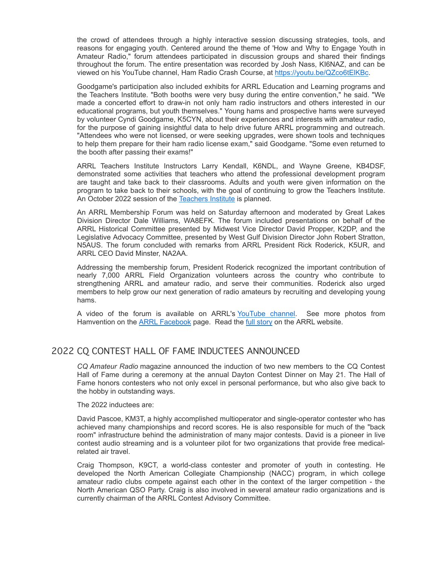the crowd of attendees through a highly interactive session discussing strategies, tools, and reasons for engaging youth. Centered around the theme of 'How and Why to Engage Youth in Amateur Radio," forum attendees participated in discussion groups and shared their findings throughout the forum. The entire presentation was recorded by Josh Nass, KI6NAZ, and can be viewed on his YouTube channel, Ham Radio Crash Course, at https://youtu.be/QZco6tElKBc.

Goodgame's participation also included exhibits for ARRL Education and Learning programs and the Teachers Institute. "Both booths were very busy during the entire convention," he said. "We made a concerted effort to draw-in not only ham radio instructors and others interested in our educational programs, but youth themselves." Young hams and prospective hams were surveyed by volunteer Cyndi Goodgame, K5CYN, about their experiences and interests with amateur radio, for the purpose of gaining insightful data to help drive future ARRL programming and outreach. "Attendees who were not licensed, or were seeking upgrades, were shown tools and techniques to help them prepare for their ham radio license exam," said Goodgame. "Some even returned to the booth after passing their exams!"

ARRL Teachers Institute Instructors Larry Kendall, K6NDL, and Wayne Greene, KB4DSF, demonstrated some activities that teachers who attend the professional development program are taught and take back to their classrooms. Adults and youth were given information on the program to take back to their schools, with the goal of continuing to grow the Teachers Institute. An October 2022 session of the Teachers Institute is planned.

An ARRL Membership Forum was held on Saturday afternoon and moderated by Great Lakes Division Director Dale Williams, WA8EFK. The forum included presentations on behalf of the ARRL Historical Committee presented by Midwest Vice Director David Propper, K2DP, and the Legislative Advocacy Committee, presented by West Gulf Division Director John Robert Stratton, N5AUS. The forum concluded with remarks from ARRL President Rick Roderick, K5UR, and ARRL CEO David Minster, NA2AA.

Addressing the membership forum, President Roderick recognized the important contribution of nearly 7,000 ARRL Field Organization volunteers across the country who contribute to strengthening ARRL and amateur radio, and serve their communities. Roderick also urged members to help grow our next generation of radio amateurs by recruiting and developing young hams.

A video of the forum is available on ARRL's YouTube channel. See more photos from Hamvention on the ARRL Facebook page. Read the full story on the ARRL website.

## 2022 CQ CONTEST HALL OF FAME INDUCTEES ANNOUNCED

*CQ Amateur Radio* magazine announced the induction of two new members to the CQ Contest Hall of Fame during a ceremony at the annual Dayton Contest Dinner on May 21. The Hall of Fame honors contesters who not only excel in personal performance, but who also give back to the hobby in outstanding ways.

#### The 2022 inductees are:

David Pascoe, KM3T, a highly accomplished multioperator and single-operator contester who has achieved many championships and record scores. He is also responsible for much of the "back room" infrastructure behind the administration of many major contests. David is a pioneer in live contest audio streaming and is a volunteer pilot for two organizations that provide free medicalrelated air travel.

Craig Thompson, K9CT, a world-class contester and promoter of youth in contesting. He developed the North American Collegiate Championship (NACC) program, in which college amateur radio clubs compete against each other in the context of the larger competition - the North American QSO Party. Craig is also involved in several amateur radio organizations and is currently chairman of the ARRL Contest Advisory Committee.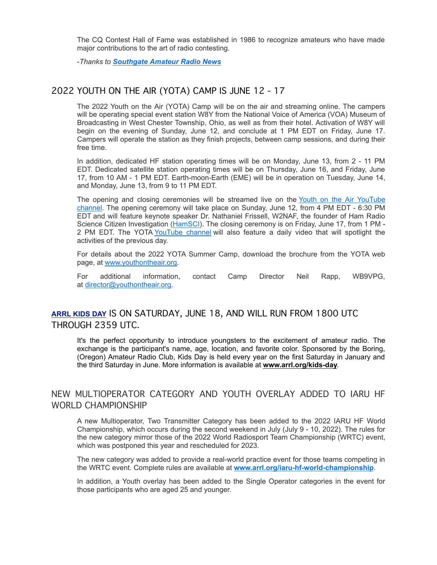The CQ Contest Hall of Fame was established in 1986 to recognize amateurs who have made major contributions to the art of radio contesting.

-*Thanks to Southgate Amateur Radio News*

## 2022 YOUTH ON THE AIR (YOTA) CAMP IS JUNE 12 - 17

The 2022 Youth on the Air (YOTA) Camp will be on the air and streaming online. The campers will be operating special event station W8Y from the National Voice of America (VOA) Museum of Broadcasting in West Chester Township, Ohio, as well as from their hotel. Activation of W8Y will begin on the evening of Sunday, June 12, and conclude at 1 PM EDT on Friday, June 17. Campers will operate the station as they finish projects, between camp sessions, and during their free time.

In addition, dedicated HF station operating times will be on Monday, June 13, from 2 - 11 PM EDT. Dedicated satellite station operating times will be on Thursday, June 16, and Friday, June 17, from 10 AM - 1 PM EDT. Earth-moon-Earth (EME) will be in operation on Tuesday, June 14, and Monday, June 13, from 9 to 11 PM EDT.

The opening and closing ceremonies will be streamed live on the Youth on the Air YouTube channel. The opening ceremony will take place on Sunday, June 12, from 4 PM EDT - 6:30 PM EDT and will feature keynote speaker Dr. Nathaniel Frissell, W2NAF, the founder of Ham Radio Science Citizen Investigation (HamSCI). The closing ceremony is on Friday, June 17, from 1 PM - 2 PM EDT. The YOTA YouTube channel will also feature a daily video that will spotlight the activities of the previous day.

For details about the 2022 YOTA Summer Camp, download the brochure from the YOTA web page, at www.youthontheair.org.

For additional information, contact Camp Director Neil Rapp, WB9VPG, at director@youthontheair.org.

# **ARRL KIDS DAY** IS ON SATURDAY, JUNE 18, AND WILL RUN FROM 1800 UTC THROUGH 2359 UTC.

It's the perfect opportunity to introduce youngsters to the excitement of amateur radio. The exchange is the participant's name, age, location, and favorite color. Sponsored by the Boring, (Oregon) Amateur Radio Club, Kids Day is held every year on the first Saturday in January and the third Saturday in June. More information is available at **www.arrl.org/kids-day**.

# NEW MULTIOPERATOR CATEGORY AND YOUTH OVERLAY ADDED TO IARU HF WORLD CHAMPIONSHIP

A new Multioperator, Two Transmitter Category has been added to the 2022 IARU HF World Championship, which occurs during the second weekend in July (July 9 - 10, 2022). The rules for the new category mirror those of the 2022 World Radiosport Team Championship (WRTC) event, which was postponed this year and rescheduled for 2023.

The new category was added to provide a real-world practice event for those teams competing in the WRTC event. Complete rules are available at **www.arrl.org/iaru-hf-world-championship**.

In addition, a Youth overlay has been added to the Single Operator categories in the event for those participants who are aged 25 and younger.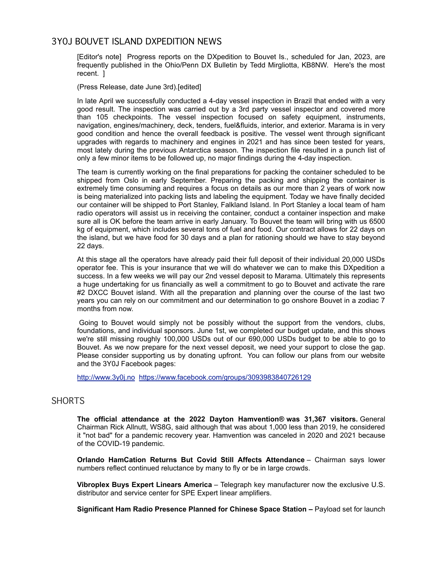## 3Y0J BOUVET ISLAND DXPEDITION NEWS

[Editor's note] Progress reports on the DXpedition to Bouvet Is., scheduled for Jan, 2023, are frequently published in the Ohio/Penn DX Bulletin by Tedd Mirgliotta, KB8NW. Here's the most recent. ]

(Press Release, date June 3rd).[edited]

In late April we successfully conducted a 4-day vessel inspection in Brazil that ended with a very good result. The inspection was carried out by a 3rd party vessel inspector and covered more than 105 checkpoints. The vessel inspection focused on safety equipment, instruments, navigation, engines/machinery, deck, tenders, fuel&fluids, interior, and exterior. Marama is in very good condition and hence the overall feedback is positive. The vessel went through significant upgrades with regards to machinery and engines in 2021 and has since been tested for years, most lately during the previous Antarctica season. The inspection file resulted in a punch list of only a few minor items to be followed up, no major findings during the 4-day inspection.

The team is currently working on the final preparations for packing the container scheduled to be shipped from Oslo in early September. Preparing the packing and shipping the container is extremely time consuming and requires a focus on details as our more than 2 years of work now is being materialized into packing lists and labeling the equipment. Today we have finally decided our container will be shipped to Port Stanley, Falkland Island. In Port Stanley a local team of ham radio operators will assist us in receiving the container, conduct a container inspection and make sure all is OK before the team arrive in early January. To Bouvet the team will bring with us 6500 kg of equipment, which includes several tons of fuel and food. Our contract allows for 22 days on the island, but we have food for 30 days and a plan for rationing should we have to stay beyond 22 days.

At this stage all the operators have already paid their full deposit of their individual 20,000 USDs operator fee. This is your insurance that we will do whatever we can to make this DXpedition a success. In a few weeks we will pay our 2nd vessel deposit to Marama. Ultimately this represents a huge undertaking for us financially as well a commitment to go to Bouvet and activate the rare #2 DXCC Bouvet island. With all the preparation and planning over the course of the last two years you can rely on our commitment and our determination to go onshore Bouvet in a zodiac 7 months from now.

Going to Bouvet would simply not be possibly without the support from the vendors, clubs, foundations, and individual sponsors. June 1st, we completed our budget update, and this shows we're still missing roughly 100,000 USDs out of our 690,000 USDs budget to be able to go to Bouvet. As we now prepare for the next vessel deposit, we need your support to close the gap. Please consider supporting us by donating upfront. You can follow our plans from our website and the 3Y0J Facebook pages:

http://www.3y0j.no https://www.facebook.com/groups/3093983840726129

## SHORTS

**The official attendance at the 2022 Dayton Hamvention® was 31,367 visitors.** General Chairman Rick Allnutt, WS8G, said although that was about 1,000 less than 2019, he considered it "not bad" for a pandemic recovery year. Hamvention was canceled in 2020 and 2021 because of the COVID-19 pandemic.

**Orlando HamCation Returns But Covid Still Affects Attendance** – Chairman says lower numbers reflect continued reluctance by many to fly or be in large crowds.

**Vibroplex Buys Expert Linears America** – Telegraph key manufacturer now the exclusive U.S. distributor and service center for SPE Expert linear amplifiers.

**Significant Ham Radio Presence Planned for Chinese Space Station –** Payload set for launch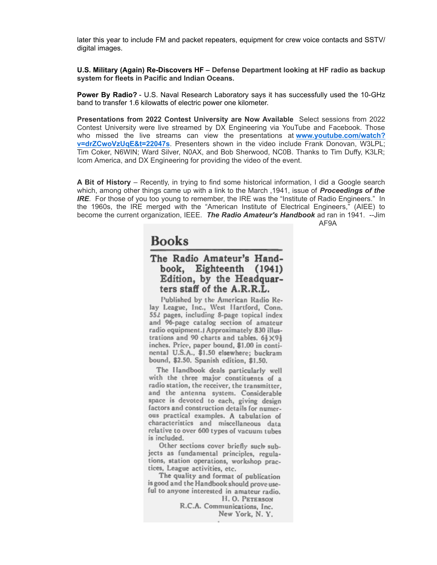later this year to include FM and packet repeaters, equipment for crew voice contacts and SSTV/ digital images.

**U.S. Military (Again) Re-Discovers HF – Defense Department looking at HF radio as backup system for fleets in Pacific and Indian Oceans.**

**Power By Radio?** - U.S. Naval Research Laboratory says it has successfully used the 10-GHz band to transfer 1.6 kilowatts of electric power one kilometer.

**Presentations from 2022 Contest University are Now Available** Select sessions from 2022 Contest University were live streamed by DX Engineering via YouTube and Facebook. Those who missed the live streams can view the presentations at **www.youtube.com/watch? v=drZCwoVzUqE&t=22047s**. Presenters shown in the video include Frank Donovan, W3LPL; Tim Coker, N6WIN; Ward Silver, N0AX, and Bob Sherwood, NC0B. Thanks to Tim Duffy, K3LR; Icom America, and DX Engineering for providing the video of the event.

**A Bit of History** – Recently, in trying to find some historical information, I did a Google search which, among other things came up with a link to the March ,1941, issue of *Proceedings of the IRE*. For those of you too young to remember, the IRE was the "Institute of Radio Engineers." In the 1960s, the IRE merged with the "American Institute of Electrical Engineers," (AIEE) to become the current organization, IEEE. *The Radio Amateur's Handbook* ad ran in 1941. --Jim AF9A

**Books** 

## The Radio Amateur's Handbook, Eighteenth (1941) Edition, by the Headquarters staff of the A.R.R.L.

Published by the American Radio Relay League, Inc., West Hartford, Conn. 552 pages, including 8-page topical index and 96-page catalog section of amateur radio equipment. J Approximately 830 illustrations and 90 charts and tables.  $6\frac{1}{2} \times 9\frac{1}{3}$ inches. Price, paper bound, \$1.00 in continental U.S.A., \$1.50 elsewhere; buckram bound, \$2.50. Spanish edition, \$1.50.

The Handbook deals particularly well with the three major constituents of a radio station, the receiver, the transmitter. and the antenna system. Considerable space is devoted to each, giving design factors and construction details for numerous practical examples. A tabulation of characteristics and miscellaneous data relative to over 600 types of vacuum tubes is included.

Other sections cover briefly such subjects as fundamental principles, regulations, station operations, workshop practices, League activities, etc.

The quality and format of publication is good and the Handbook should prove useful to anyone interested in amateur radio. H.O. PETERSON

R.C.A. Communications, Inc. New York, N.Y.